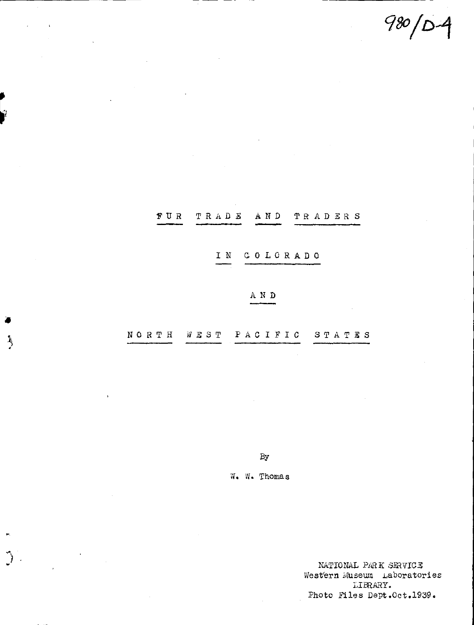$980/D-4$ 

|                           | IN COLORADO |  |
|---------------------------|-------------|--|
|                           | A N D       |  |
| NORTH WEST PACIFIC STATES |             |  |

 $A \ N$   $D$ 

TRADERS

TRADE

FUR

 $\left\langle \right\rangle$ 

 $\bigg)$ 

 $By$ 

W. W. Thomas

NATIONAL PARK SERVICE Western Museum Laboratories LIBRARY. Photo Files Dept.Oct.1939.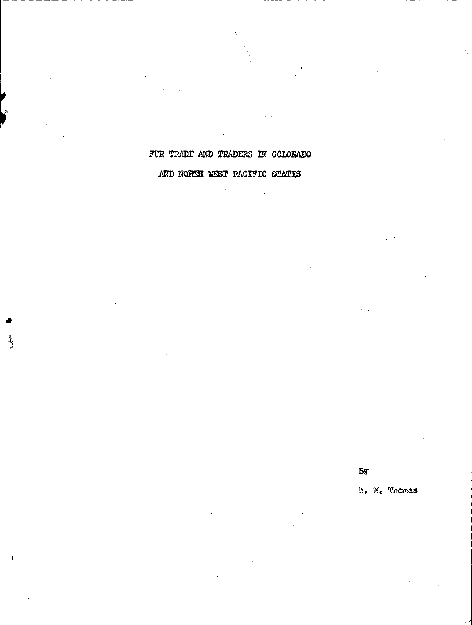## FUR TRADE AND TRADERS IN COLORADO AND NORTH WEST PACIFIC STATES

•

 $By$ 

W. VI. Thomas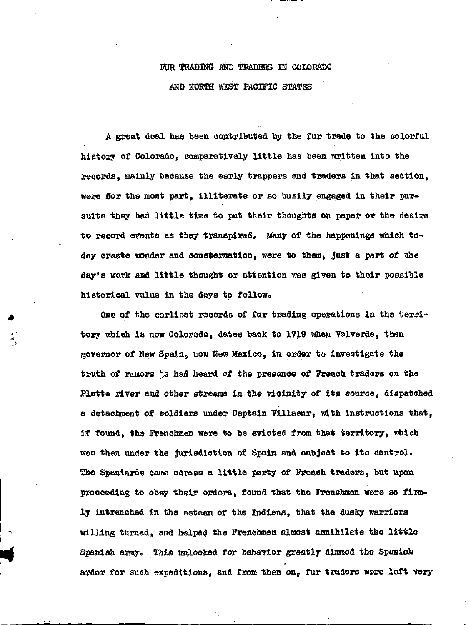## FUR TRADING AND TRADERS IN COLORADO AND NORTH WEST PACIFIC STATES

A great deal has been contributed by the tur trade to the colorful history *ot* Colorado, comparatively little has been written into the records, mainly because the early trappers and traders in that section, were for the most part. illiterate or so busily engaged in their pursuits they had little time to put their thoughts on paper or the desire to record events as they transpired. Many of the happenings which todey create wonder and oonstemation, were to them, Just a part of the day's work and little thought or attention was given to their possible historical value in the days to follow.

one of the earliest records of fur trading operations in the territory which is now Colorado, dates back to 1719 when Valverde, then governor of New Spain, now New Mexico, in order to investigate the truth of rumors ~~ had heard *ot* the presence of French traders on the Platte river and other streams in the vicinity of its source, dispatched a detachment of soldiers under Captain Villasur, with instructions that, if found, the Frenchmen were to be evicted from that territory, which was than under the jurisdiction of Spain and subject to its control. The Spaniards came across a little party of French traders, but upon proceeding to obey their orders, found that the Frenchmen were so firmly intrenched in the esteem *ot* the Indians, that the dusky warriors Willing turned, and helped the Frenchmen almost annihilate the little Spanish army. This unlooked *tor* bahavior greatly dimmed the Spanish ardor tor such expeditions, and from then on, tur traders were left very

-.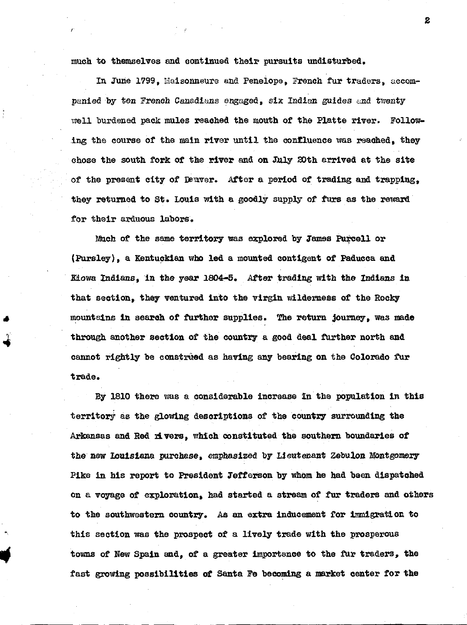much to themselves and continued their pursuits undisturbed,

In June 1799, Maisonneure and Penelope, French fur traders, accompanied by ten French Canadians engaged, six Indian guides and twenty well burdened pack mules reached the mouth of the Platte river. Following the course of the main river until the confluence was reached. they chose the south fork of the river and on July 20th arrived at the site of the present city of Deuver. After a period of trading and trapping, they returned to St. Louis with a goodly supply of furs as the reward for their arduous labors.

Much of the same territory was explored by James Purcell or (Pursley), a Kentuckian who led a mounted contigent of Paducca and Kiowa Indians, in the year 1804-5. After trading with the Indians in that section, they ventured into the virgin wilderness of the Rocky mountains in search of further supplies. The return journey. was made through another section of the country a good deal further north and cannot rightly be construed as having any bearing on the Colorado fur trade.

•

•.

By 1810 there was a considerable increase 1n the population in this territory as the glowing descriptions of the country surrounding the Arkansas and Red rivers, which constituted the southern boundaries of the new Iouisiana purchase. emphasized by Lieutenant Zebulon Montgomery Pike 1n his report to President Jefferson by whom he had been dispatched on a voyage of exploration. had started a stream of fur traders and others to the southwestern country. As an extra inducement for immigration to this section was the prospect of a lively trade With the prosperous towns of New Spain and, of a greater importance to the fur traders, the fast growing possibilities of Santa Fe becoming a market center tor the

2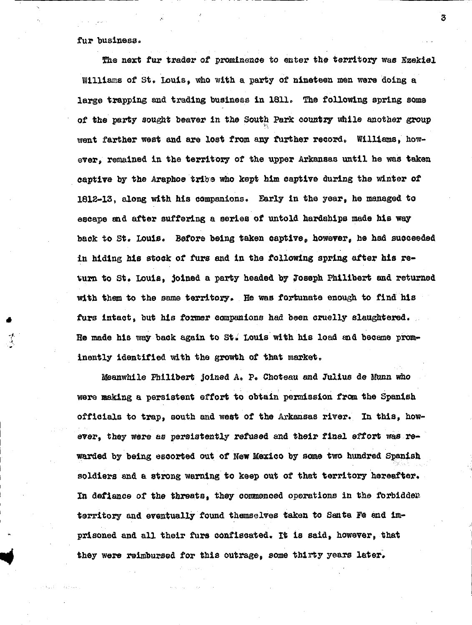## fur business.

~--------------------------------------------------

•

The next fur trader of prominence to enter the territory was Ezekiel Williams of St. Louis, who with a party of nineteen men were doing a large trapping and trading business in 1811. The following spring some of the party sought beaver in the South Park country while another group went farther west and are lost from any further record. Williams, however, remained in the territory of the upper Arkansas until he was taken captive by the Araphoe tribe who kept him captive during the winter of 1812-13, along with his companions. Early in the year, he managed to escape and after suffering a series of untold hardships made his way back to st. LOuis. Before being taken captive, however, he had succeeded in hiding his stock of furs and in the following spring after his return to St. Louis, joined a party headed by Joseph Philibert and returned with them to the same territory. He was fortunate enough to find his furs intact, but his former companions had been cruelly slaughtered. He made his way back again to st.; Louis with his load and became prominently identified with the growth of that market,

Meanwhile Philibert joined A. P. Choteau and Julius de Munn who were making a persistent effort to obtain permission from the Spanish officials to trap, south and west of the Arkansas river. In this, however, they were as persistently refused and their final effort was rewarded by being escorted out of New Mexico by some two hundrad Spanish soldiers and a strong warning to keep out of that territory hereafter. In defiance or the threats, they commenced operations in the forbidden territory end eventually found themselves taken to Santa Fe snd imprisoned and all their furs confiscated. It is said, however, that they were reimbursed for this outrage, some thirty yeara later.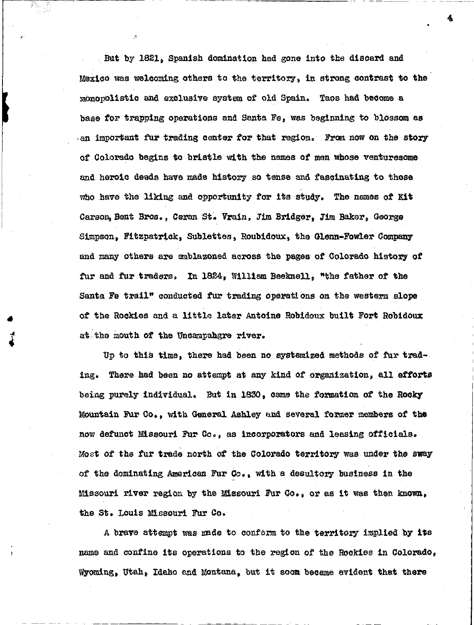But by 1821, Spanish domination had gone into the discard and Mexico was welcoming others to the territory, in strong contrast to the mbnopolistic and exclusive system of old Spain. Taos had become a base for trapping operations and Santa Fe, was beginning to blossom as an important fur trading center for that region. From now on the story of Colorado begins to bristle with the names of men whose venturesome and heroic deeds have made history so tense and fascinating to those who have the liking and opportunity for its study. The names *ot* Kit Carson, Bent Bros., Ceran St. Vrain, Jim Bridger, Jim Baker, George Simpson, Fitzpatrick, Sublettes, Roubidoux, the Glenn-Fowler Company and many others are ambla20ned across the pages ot Colorado history *ot*  fur and fur traders. In 1824, William Beeknell, "the father of the Santa Fe trail" conducted tur trading operati ons on the western slope of' the Rockies and a little later Antoine Robidoux built Fort Robidoux at:the mouth of the Uncampahgre river.

•

~·

Up to this time, there had been no systemized methods of fur trading. There had been no attempt at any kind of organization, all efforts being purely individual. But in 1830, came the formation *ot* the Rocky Mountain Fur eo., with General Ashley und several fomer members oi' the now defunct Missouri Fur Co,, as incorporators and leasing officials. Most of the tur trade north *ot* the colorado territory was under the sway of the dominating American Fur Oo. • with a desultory business in the Missouri river region by the Missouri Fur Co. • or as it was then knOwn, the St. LOuis Missouri Fur Co,

A brave attempt was made to conform to the territory implied by its name and confine its operations to the region of' the Rockies in Colorado, Wyoming, Utah, Idaho and Montana, but it soom became evident that there

---------- -

4

•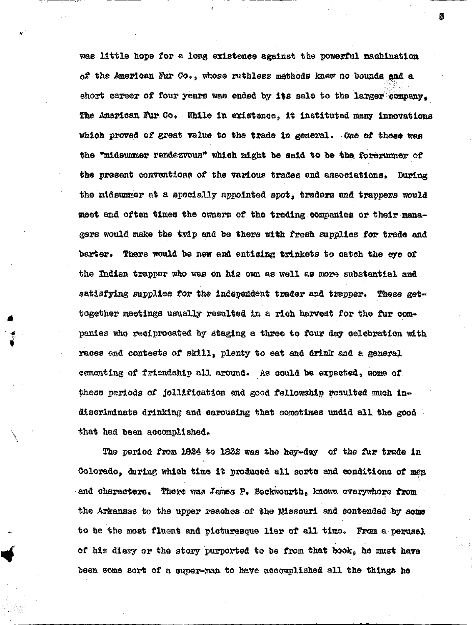was little hope for a long existence against the powerful machination of the American Fur Co., whose ruthless methods knew no bounds and a short career of four years was ended by its sale to the larger company. The American Fur Co. While in existence, it instituted many innovations which proved of great value to the trade in general. One of these was the "midsummer rendezvous" which might be said to be the forerunner of the present conventions of the various trades and associations. During the midsummer at a specially appointed spot, traders and trappers would meet and often times the owners of the trading companies or their managers would make the trip and be there with fresh supplies for trade and barter. There would be new and enticing trinkets to catch the eve of the Indian trapper who was on his own as well as more substantial and satisfying supplies for the independent trader and trapper. These gettogether meetings usually resulted in a rich harvest for the fur companies who reciprocated by staging a three to four day celebration with races and contests of skill, plenty to eat and drink and a general cementing of friendship all around. As could be expected, some of these periods of jollification and good fellowship resulted much indiscriminate drinking and carousing that sometimes undid all the good that had been accomplished.

The period from 1824 to 1832 was the hey-day of the fur trade in Colorado, during which time it produced all sorts and conditions of men and characters. There was James P. Beckwourth, known everywhere from the Arkansas to the upper reaches of the Missouri and contended by some to be the most fluent and picturesque liar of all time. From a perusal of his diary or the story purported to be from that book, he must have been some sort of a super-man to have accomplished all the things he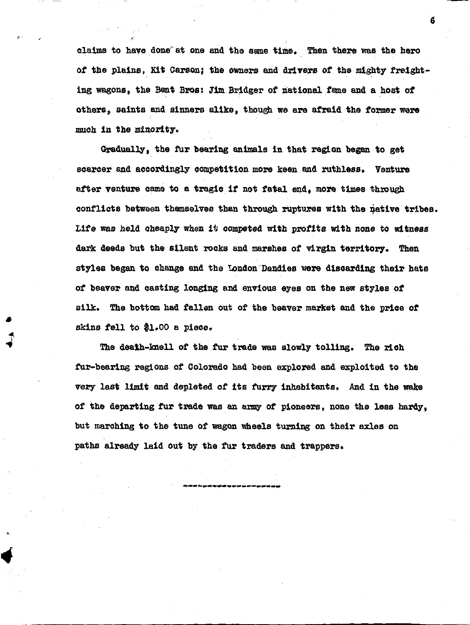claims to have done at one and the same time. Then there was the hero of the plains, Kit Carson; the owners and drivers of the mighty freighting wagons, the Bent Bros: Jim Bridger of national fame and a host of others, saints and sinners alike, though we are afraid the former were much in the minority.

Gradually, the fur bearing animals in that region began to get scarcer and accordingly competition more keen and ruthless. Venture after venture came to a tragic if not fatal end, more times through conflicts between themselves than through ruptures with the native tribes. Life was held cheaply when it competed with profits with none to witness dark deeds but the silent rocks and marshes of virgin territory. Then styles began to change and the London Dandies were discarding their hats of beaver and casting longing and envious eyes on the new styles of silk. The bottom had fallen out of the beaver market end the price of skins fell to \$1.00 a piece.

The dealh-knell of the fur trade was slowly tolling. The rich fur-bearing regions of Colorado had been explored end exploited to the very last limit and depleted of its furry inhabitants. And in the wake of the departing fur trade was an army of pioneers, none the less hardy, but marching to the tune of wagon wheels turning on their axles on paths already laid out by the fur traders and trappers.

6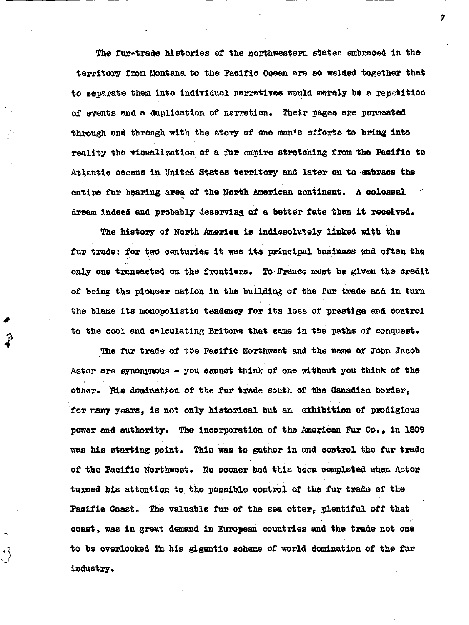the fur-trade histories *ot* the northwestern states embraced in the territory from Montana to the Pacific Ocean are so welded together that to separate them into individual narratives would merely be a repetition of events and a duplication of narration. Their pages are permeated through and through with the story of one man•s efforts to bring into reality the visualization of a fur empire stretching from the Pacific to Atlantic oceans in United States territory and later on to embrace the entire fur bearing area of the North American continent. A colossal dream indeed and probably deserving of a better fate than it reoeived.

The history of North America is indissolutely linked with the fur trade; for two centuries it was its principal business and often the only one transacted on the frontiers. To France must be given the credit of being the pioneer nation in the building of the fur trade and in turn the blame its monopolistic tendency for its loss of prestige and control to the cool and calculating Britons that came in the paths of conquest.

The fur trade of the Pacific Northwest and the name of John Jacob Astor are synonymous  $-$  you cannot think of one without you think of the other. His domination of the fur trade south of' the Canadian border, for many years, is not only historical but an exhibition of prodigious power and authority. The incorporation of the American Fur Co., in 1809 was his starting point. This was to gather in and control the tur trade of the Pacific Northwest. No sooner had this been completed when Astor turned his attention to the possible control *ot* the tur trade of the Pacific Coast. the valuable tur of the sea otter, plentiful off that coast, was in great demand in European countries and the trade not one to be overlooked in his gigantic scheme of world domination of the fur industry.

*'1*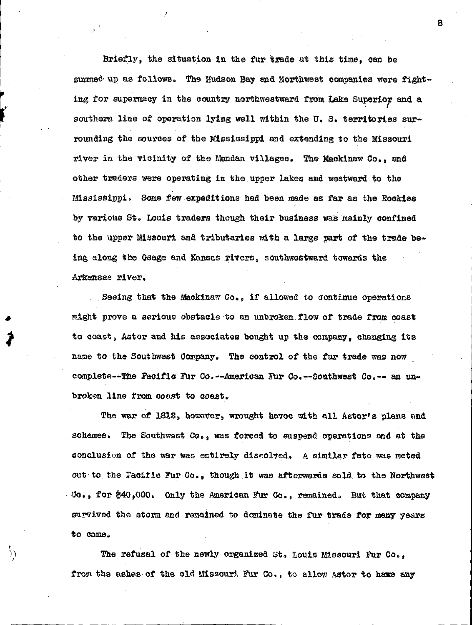Briefly, the situation in the fur trade at this time, can be summed up as follows. The Hudson Bay and Northwest companies were fighting for supermacy in the country northwestward from Lake Superior and a southern line of operation lying well within the U.S. territories surrounding the sources of the Mississippi and extending to the Missouri river in the vicinity of the Mandan villages. The Mackinaw Co., and other traders were operating in the upper lakes and westward to the Mississippi. Some few expeditions had been made as far as the Rockies by various St. Louis traders though their business was mainly confined to the upper Missouri and tributaries with a large part of the trade being along the Osage end Kansas rivers, ·southwestward towards the Arkansas river.

I

I ~ r I

Ϋ́,

Seeing that the Mackinaw Co., if allowed to continue operations might prove a serious obstacle to an unbroken. flow of trade from coast to coast, Astor and his associates bought up the company, changing its name to the Southwest Company. The control of the fur trade was now complete--The Pacific Fur Co.--American Fur Co.--southwest Co,-- an unbroken line from coast to coast.

The war of 1812, however, wrought havoc with all Astor's plans and schemes, The Southwest Co., was forced to suspend operations and at the conclusion of the war was entirely discolved. A similar fate was meted out to the Facafic Fur Co., though it was afterwards sold to the Northwest Go., for \$40,000. Only the American Fur Go., remained. But that company survived the storm and remained to dominate the fur trade for many years to come.

The refusal of the newly organized St. Louis Missouri Fur Co.. from the ashes of the old Missouri Fur Co., to allow Astor to have any a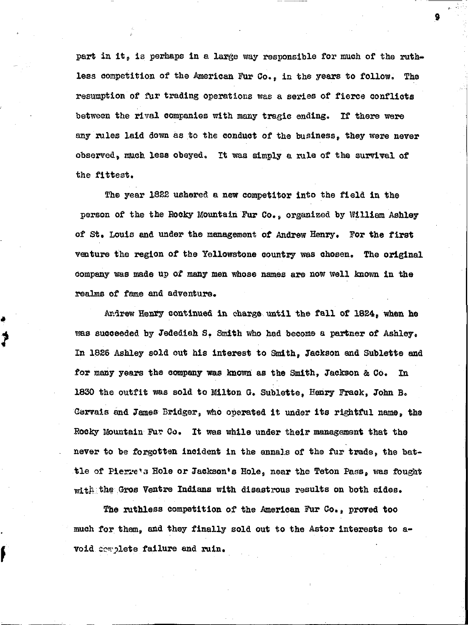part in it, is perhaps in a large way responsible for much of the ruthless competition of the American Fur Co., in the years to follow. The resumption of fur trading operations was a series of fierce conflicts between the rival companies With many tragic ending. If there were any rules laid down as to the conduct of the business, they were never observed, much less obeyed. It was simply a rule of the survival of the fittest,

9

The year 1822 ushered a new competitor into the field in the person of the the Rooky Mountain Fur Co,, organized by William Ashley of St. Louis and under the management of Andrew Henry, For the first venture the region of the Yellowstone country was chosen, The original company was made up *ol* many men whose names are now \Vell known in the realms of fame and adventure,

•

f

Ardrew Henry continued in charge until the fall of 1824, when he was succeeded by Jedediah S. Smith who had become a partner of Ashley. In 1826 Ashley sold out his interest to Smith. Jackson and Sublette and for many years the company was known as the Smith, Jackson & Co. In 1830 the outfit was sold to Milton G. Sublette, Henry Frack, John B. Gervais and James Bridger, who operated it under its rightful name, the Rocky Mountain Fur Co. It was while under their management that the never to be forgotten incident in the annals of the fur trade, the battle of Pierre's Hole or Jackson's Hole, near the Teton Pass, was fought  $\text{with the Gross Ventre~Indians with disastrous results on both sides.}$ 

The ruthless competition of the American Fur Co,, proved too much for tham, end they finally sold out to the Astor interests to avoid complete failure and ruin.